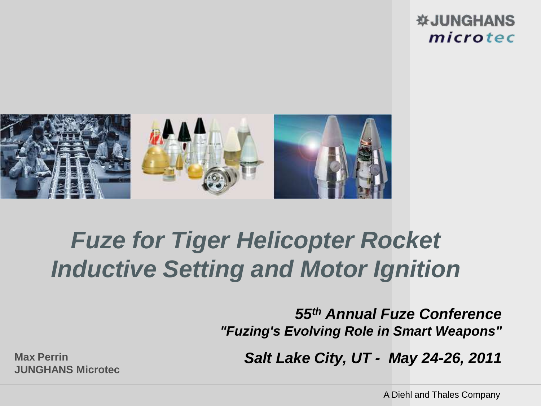#### **WJUNGHANS** microtec



# *Fuze for Tiger Helicopter Rocket Inductive Setting and Motor Ignition*

*55th Annual Fuze Conference "Fuzing's Evolving Role in Smart Weapons"*

**Max Perrin** *Salt Lake City, UT - May 24-26, 2011*

**JUNGHANS Microtec**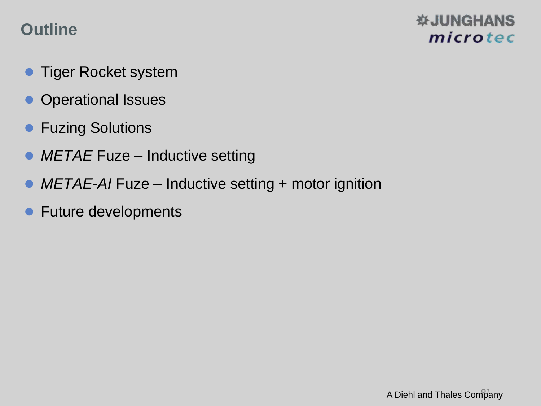### **Outline**

- **Tiger Rocket system**
- **Operational Issues**
- **Fuzing Solutions**
- METAE Fuze Inductive setting
- *METAE-AI* Fuze Inductive setting + motor ignition
- Future developments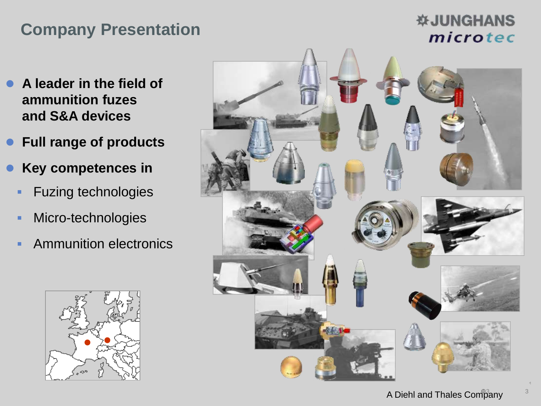### **Company Presentation**

- **A leader in the field of ammunition fuzes and S&A devices**
- **Full range of products**
- **Key competences in** 
	- **Fuzing technologies**
	- **Micro-technologies**
	- **Ammunition electronics**



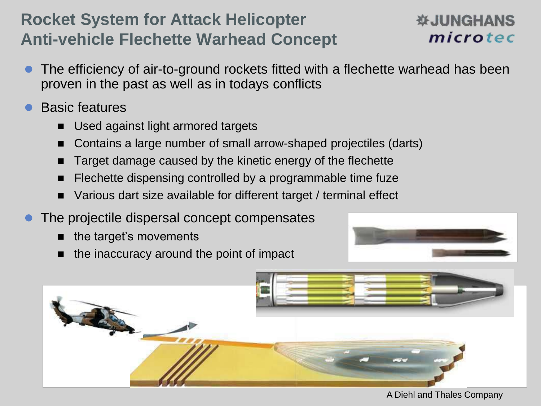### **Rocket System for Attack Helicopter Anti-vehicle Flechette Warhead Concept**

### **WAHANS** microtec

- The efficiency of air-to-ground rockets fitted with a flechette warhead has been proven in the past as well as in todays conflicts
- Basic features
	- Used against light armored targets
	- Contains a large number of small arrow-shaped projectiles (darts)
	- Target damage caused by the kinetic energy of the flechette
	- Flechette dispensing controlled by a programmable time fuze
	- Various dart size available for different target / terminal effect
- The projectile dispersal concept compensates
	- $\blacksquare$  the target's movements
	- the inaccuracy around the point of impact



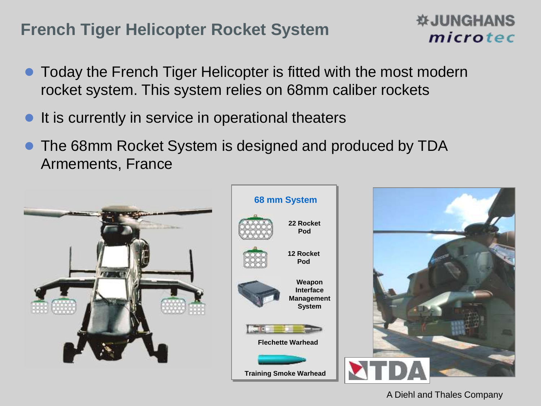### **French Tiger Helicopter Rocket System**

#### **WJUNGHANS** microtec

- Today the French Tiger Helicopter is fitted with the most modern rocket system. This system relies on 68mm caliber rockets
- It is currently in service in operational theaters
- The 68mm Rocket System is designed and produced by TDA Armements, France

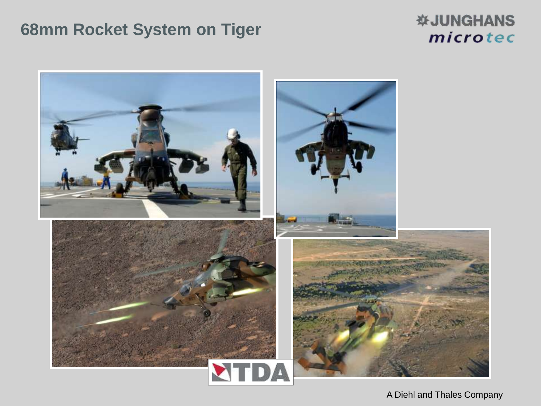### **68mm Rocket System on Tiger**

#### *<b>WJUNGHANS* microtec

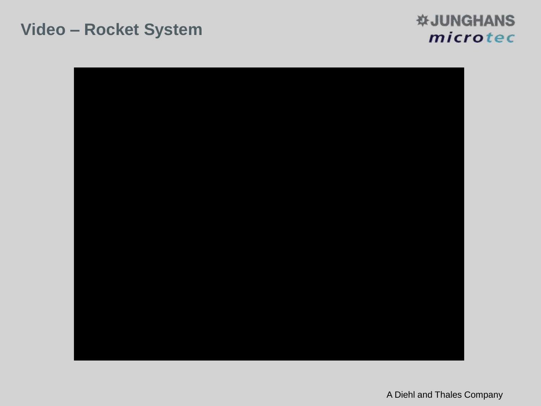#### **Video – Rocket System**

#### **WJUNGHANS** microtec

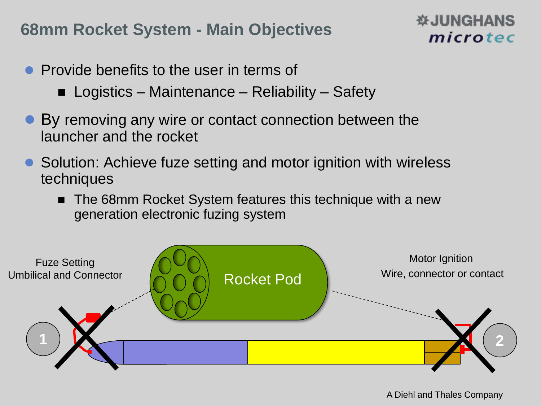### **68mm Rocket System - Main Objectives**

### **WJUNGHANS** microtec

- Provide benefits to the user in terms of
	- Logistics Maintenance Reliability Safety
- By removing any wire or contact connection between the launcher and the rocket
- Solution: Achieve fuze setting and motor ignition with wireless techniques
	- The 68mm Rocket System features this technique with a new generation electronic fuzing system

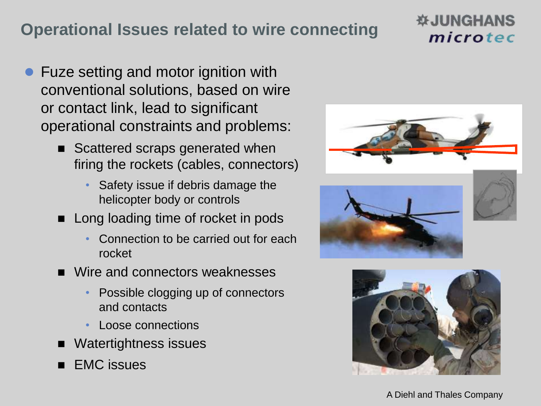### **Operational Issues related to wire connecting**

- Fuze setting and motor ignition with conventional solutions, based on wire or contact link, lead to significant operational constraints and problems:
	- Scattered scraps generated when firing the rockets (cables, connectors)
		- Safety issue if debris damage the helicopter body or controls
	- **Long loading time of rocket in pods** 
		- Connection to be carried out for each rocket
	- Wire and connectors weaknesses
		- Possible clogging up of connectors and contacts
		- Loose connections
	- Watertightness issues
	- EMC issues







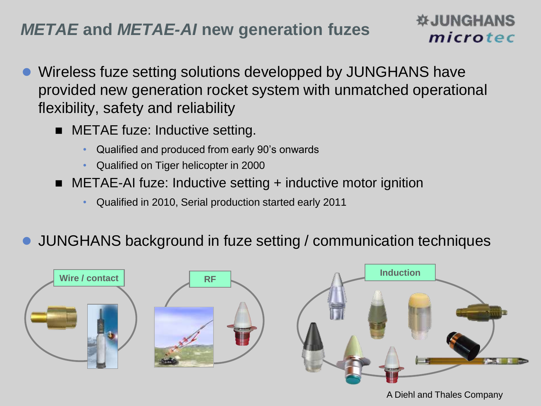### *METAE* **and** *METAE-AI* **new generation fuzes**

- Wireless fuze setting solutions developped by JUNGHANS have provided new generation rocket system with unmatched operational flexibility, safety and reliability
	- **METAE fuze: Inductive setting.** 
		- Qualified and produced from early 90's onwards
		- Qualified on Tiger helicopter in 2000
	- METAE-AI fuze: Inductive setting + inductive motor ignition
		- Qualified in 2010, Serial production started early 2011
- JUNGHANS background in fuze setting / communication techniques



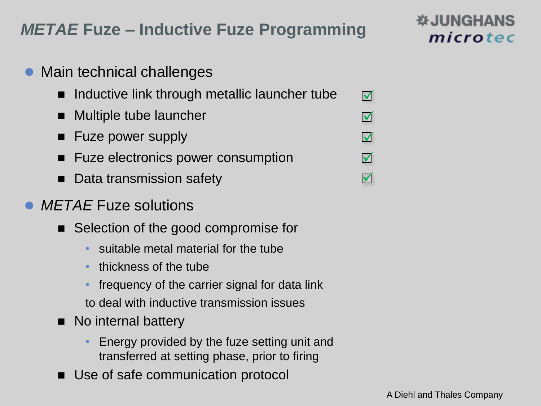### *METAE* **Fuze – Inductive Fuze Programming**

- Main technical challenges
	- Inductive link through metallic launcher tube  $\blacktriangledown$
	- Multiple tube launcher
	- Fuze power supply
	- Fuze electronics power consumption
	- Data transmission safety
- *METAE* Fuze solutions
	- Selection of the good compromise for
		- suitable metal material for the tube
		- thickness of the tube
		- frequency of the carrier signal for data link to deal with inductive transmission issues
	- No internal battery
		- Energy provided by the fuze setting unit and transferred at setting phase, prior to firing
	- Use of safe communication protocol



 $\blacktriangledown$ 

 $\blacktriangledown$ 

 $\blacktriangledown$ 

 $\blacktriangledown$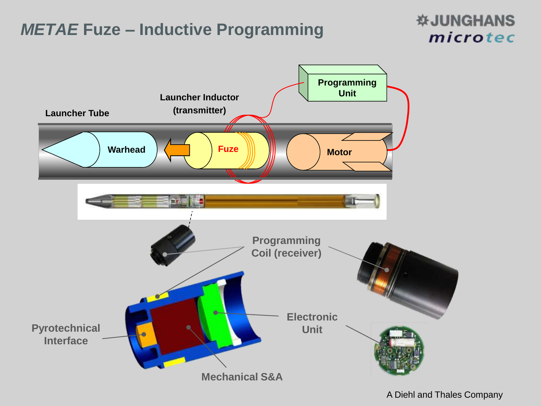### *METAE* **Fuze – Inductive Programming**

#### **WJUNGHANS** microtec

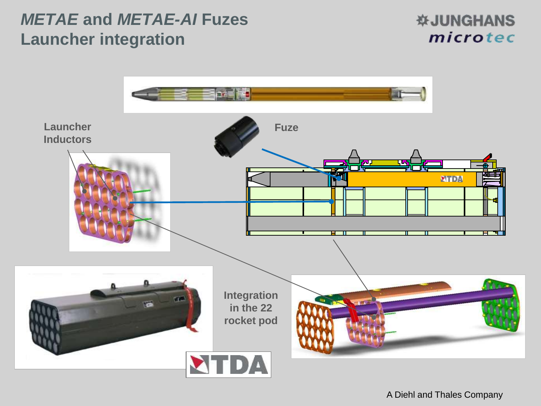### *METAE* **and** *METAE-AI* **Fuzes Launcher integration**

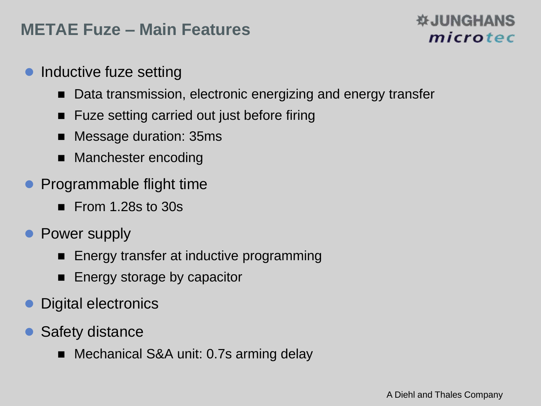### **METAE Fuze – Main Features**

- Inductive fuze setting
	- Data transmission, electronic energizing and energy transfer
	- Fuze setting carried out just before firing
	- Message duration: 35ms
	- Manchester encoding
- Programmable flight time
	- $\blacksquare$  From 1.28s to 30s
- Power supply
	- Energy transfer at inductive programming
	- **Energy storage by capacitor**
- Digital electronics
- Safety distance
	- Mechanical S&A unit: 0.7s arming delay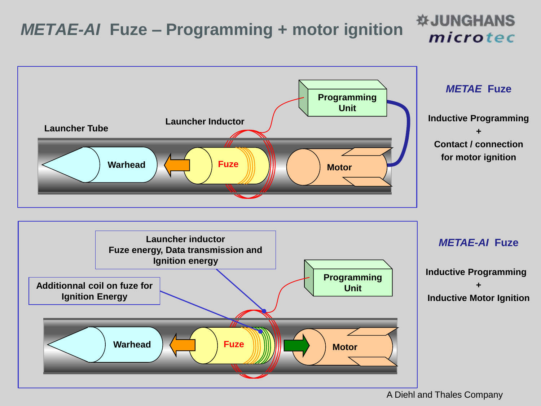## *METAE-AI* **Fuze – Programming + motor ignition**



A Diehl and Thales Company

**WJUNGHANS** 

microtec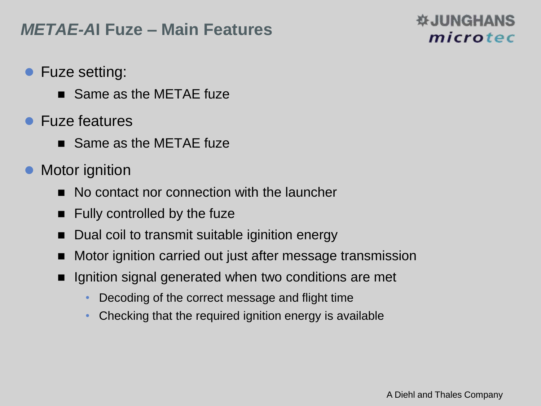### *METAE-A***I Fuze – Main Features**

- **Fuze setting:** 
	- Same as the METAE fuze
- Fuze features
	- Same as the METAE fuze
- Motor ignition
	- No contact nor connection with the launcher
	- $\blacksquare$  Fully controlled by the fuze
	- Dual coil to transmit suitable iginition energy
	- Motor ignition carried out just after message transmission
	- Ignition signal generated when two conditions are met
		- Decoding of the correct message and flight time
		- Checking that the required ignition energy is available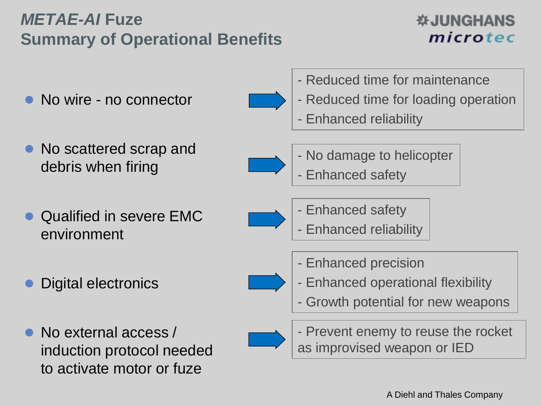### *METAE-AI* **Fuze Summary of Operational Benefits**

### *DESSIGNANS* microtec

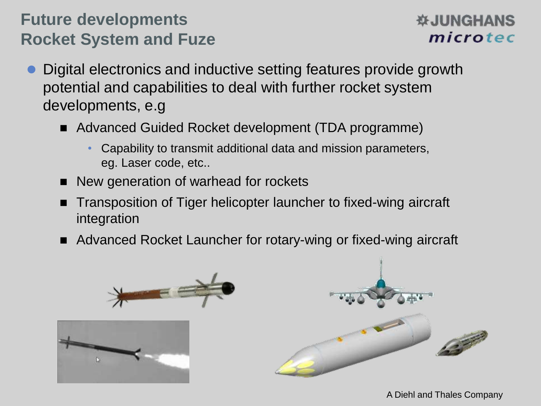### **Future developments Rocket System and Fuze**

### **WAHANS** microtec

- Digital electronics and inductive setting features provide growth potential and capabilities to deal with further rocket system developments, e.g
	- Advanced Guided Rocket development (TDA programme)
		- Capability to transmit additional data and mission parameters, eg. Laser code, etc..
	- New generation of warhead for rockets
	- Transposition of Tiger helicopter launcher to fixed-wing aircraft integration
	- Advanced Rocket Launcher for rotary-wing or fixed-wing aircraft

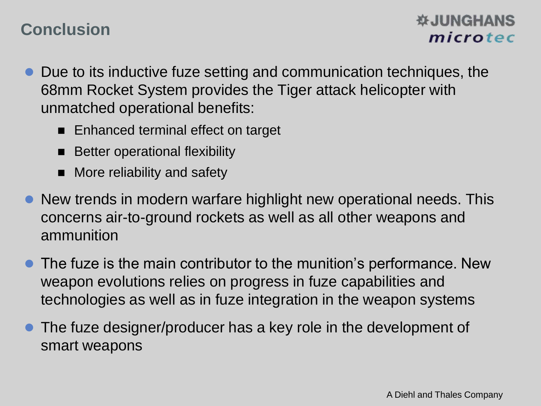### **Conclusion**

### **WAHANS** microtec

- Due to its inductive fuze setting and communication techniques, the 68mm Rocket System provides the Tiger attack helicopter with unmatched operational benefits:
	- Enhanced terminal effect on target
	- Better operational flexibility
	- More reliability and safety
- New trends in modern warfare highlight new operational needs. This concerns air-to-ground rockets as well as all other weapons and ammunition
- The fuze is the main contributor to the munition's performance. New weapon evolutions relies on progress in fuze capabilities and technologies as well as in fuze integration in the weapon systems
- The fuze designer/producer has a key role in the development of smart weapons